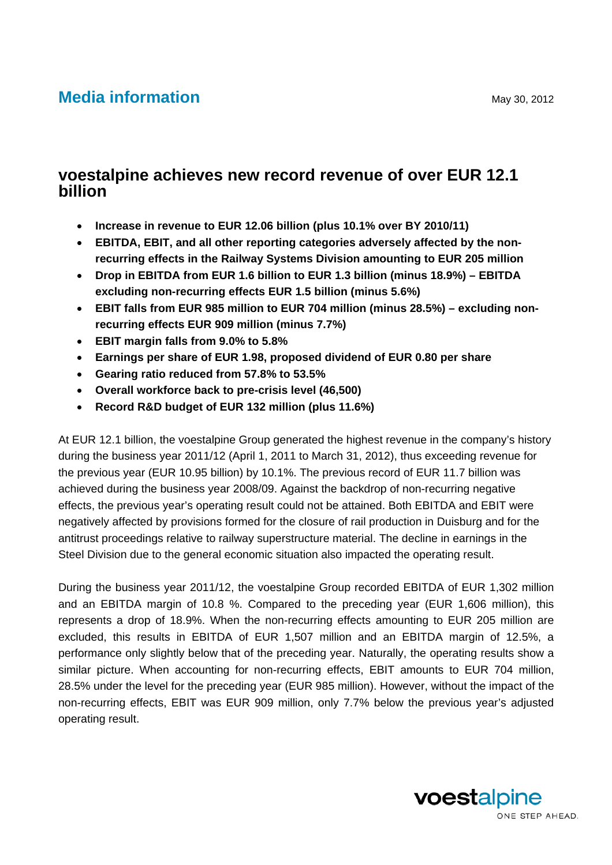# **Media information** May 30, 2012

# **voestalpine achieves new record revenue of over EUR 12.1 billion**

- **Increase in revenue to EUR 12.06 billion (plus 10.1% over BY 2010/11)**
- **EBITDA, EBIT, and all other reporting categories adversely affected by the nonrecurring effects in the Railway Systems Division amounting to EUR 205 million**
- **Drop in EBITDA from EUR 1.6 billion to EUR 1.3 billion (minus 18.9%) EBITDA excluding non-recurring effects EUR 1.5 billion (minus 5.6%)**
- **EBIT falls from EUR 985 million to EUR 704 million (minus 28.5%) excluding nonrecurring effects EUR 909 million (minus 7.7%)**
- **EBIT margin falls from 9.0% to 5.8%**
- **Earnings per share of EUR 1.98, proposed dividend of EUR 0.80 per share**
- **Gearing ratio reduced from 57.8% to 53.5%**
- **Overall workforce back to pre-crisis level (46,500)**
- **Record R&D budget of EUR 132 million (plus 11.6%)**

At EUR 12.1 billion, the voestalpine Group generated the highest revenue in the company's history during the business year 2011/12 (April 1, 2011 to March 31, 2012), thus exceeding revenue for the previous year (EUR 10.95 billion) by 10.1%. The previous record of EUR 11.7 billion was achieved during the business year 2008/09. Against the backdrop of non-recurring negative effects, the previous year's operating result could not be attained. Both EBITDA and EBIT were negatively affected by provisions formed for the closure of rail production in Duisburg and for the antitrust proceedings relative to railway superstructure material. The decline in earnings in the Steel Division due to the general economic situation also impacted the operating result.

During the business year 2011/12, the voestalpine Group recorded EBITDA of EUR 1,302 million and an EBITDA margin of 10.8 %. Compared to the preceding year (EUR 1,606 million), this represents a drop of 18.9%. When the non-recurring effects amounting to EUR 205 million are excluded, this results in EBITDA of EUR 1,507 million and an EBITDA margin of 12.5%, a performance only slightly below that of the preceding year. Naturally, the operating results show a similar picture. When accounting for non-recurring effects, EBIT amounts to EUR 704 million, 28.5% under the level for the preceding year (EUR 985 million). However, without the impact of the non-recurring effects, EBIT was EUR 909 million, only 7.7% below the previous year's adjusted operating result.

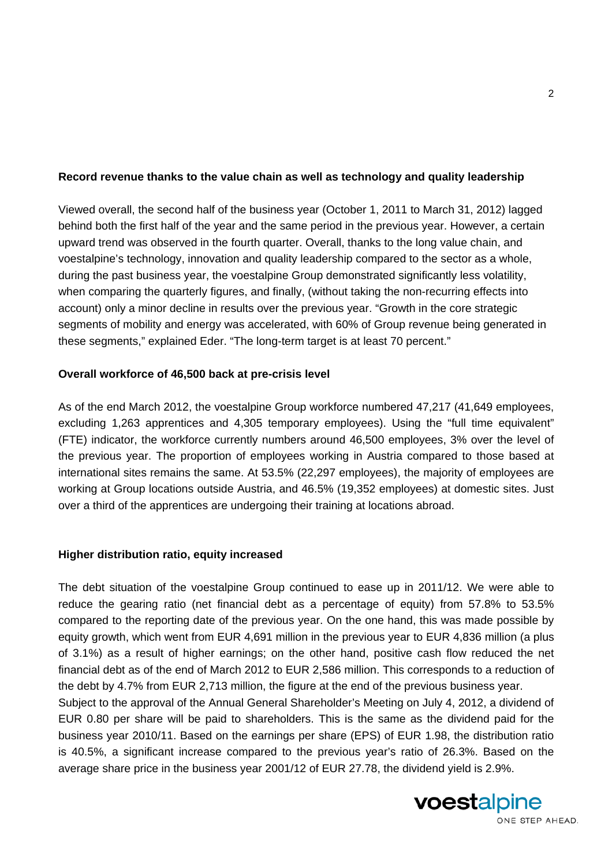# **Record revenue thanks to the value chain as well as technology and quality leadership**

Viewed overall, the second half of the business year (October 1, 2011 to March 31, 2012) lagged behind both the first half of the year and the same period in the previous year. However, a certain upward trend was observed in the fourth quarter. Overall, thanks to the long value chain, and voestalpine's technology, innovation and quality leadership compared to the sector as a whole, during the past business year, the voestalpine Group demonstrated significantly less volatility, when comparing the quarterly figures, and finally, (without taking the non-recurring effects into account) only a minor decline in results over the previous year. "Growth in the core strategic segments of mobility and energy was accelerated, with 60% of Group revenue being generated in these segments," explained Eder. "The long-term target is at least 70 percent."

### **Overall workforce of 46,500 back at pre-crisis level**

As of the end March 2012, the voestalpine Group workforce numbered 47,217 (41,649 employees, excluding 1,263 apprentices and 4,305 temporary employees). Using the "full time equivalent" (FTE) indicator, the workforce currently numbers around 46,500 employees, 3% over the level of the previous year. The proportion of employees working in Austria compared to those based at international sites remains the same. At 53.5% (22,297 employees), the majority of employees are working at Group locations outside Austria, and 46.5% (19,352 employees) at domestic sites. Just over a third of the apprentices are undergoing their training at locations abroad.

# **Higher distribution ratio, equity increased**

The debt situation of the voestalpine Group continued to ease up in 2011/12. We were able to reduce the gearing ratio (net financial debt as a percentage of equity) from 57.8% to 53.5% compared to the reporting date of the previous year. On the one hand, this was made possible by equity growth, which went from EUR 4,691 million in the previous year to EUR 4,836 million (a plus of 3.1%) as a result of higher earnings; on the other hand, positive cash flow reduced the net financial debt as of the end of March 2012 to EUR 2,586 million. This corresponds to a reduction of the debt by 4.7% from EUR 2,713 million, the figure at the end of the previous business year.

Subject to the approval of the Annual General Shareholder's Meeting on July 4, 2012, a dividend of EUR 0.80 per share will be paid to shareholders. This is the same as the dividend paid for the business year 2010/11. Based on the earnings per share (EPS) of EUR 1.98, the distribution ratio is 40.5%, a significant increase compared to the previous year's ratio of 26.3%. Based on the average share price in the business year 2001/12 of EUR 27.78, the dividend yield is 2.9%.

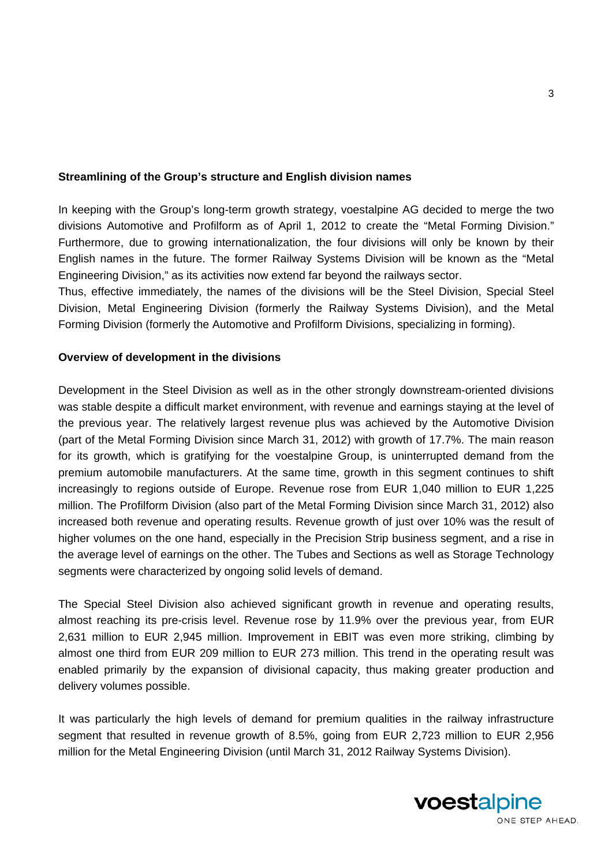#### **Streamlining of the Group's structure and English division names**

In keeping with the Group's long-term growth strategy, voestalpine AG decided to merge the two divisions Automotive and Profilform as of April 1, 2012 to create the "Metal Forming Division." Furthermore, due to growing internationalization, the four divisions will only be known by their English names in the future. The former Railway Systems Division will be known as the "Metal Engineering Division," as its activities now extend far beyond the railways sector.

Thus, effective immediately, the names of the divisions will be the Steel Division, Special Steel Division, Metal Engineering Division (formerly the Railway Systems Division), and the Metal Forming Division (formerly the Automotive and Profilform Divisions, specializing in forming).

#### **Overview of development in the divisions**

Development in the Steel Division as well as in the other strongly downstream-oriented divisions was stable despite a difficult market environment, with revenue and earnings staying at the level of the previous year. The relatively largest revenue plus was achieved by the Automotive Division (part of the Metal Forming Division since March 31, 2012) with growth of 17.7%. The main reason for its growth, which is gratifying for the voestalpine Group, is uninterrupted demand from the premium automobile manufacturers. At the same time, growth in this segment continues to shift increasingly to regions outside of Europe. Revenue rose from EUR 1,040 million to EUR 1,225 million. The Profilform Division (also part of the Metal Forming Division since March 31, 2012) also increased both revenue and operating results. Revenue growth of just over 10% was the result of higher volumes on the one hand, especially in the Precision Strip business segment, and a rise in the average level of earnings on the other. The Tubes and Sections as well as Storage Technology segments were characterized by ongoing solid levels of demand.

The Special Steel Division also achieved significant growth in revenue and operating results, almost reaching its pre-crisis level. Revenue rose by 11.9% over the previous year, from EUR 2,631 million to EUR 2,945 million. Improvement in EBIT was even more striking, climbing by almost one third from EUR 209 million to EUR 273 million. This trend in the operating result was enabled primarily by the expansion of divisional capacity, thus making greater production and delivery volumes possible.

It was particularly the high levels of demand for premium qualities in the railway infrastructure segment that resulted in revenue growth of 8.5%, going from EUR 2,723 million to EUR 2,956 million for the Metal Engineering Division (until March 31, 2012 Railway Systems Division).

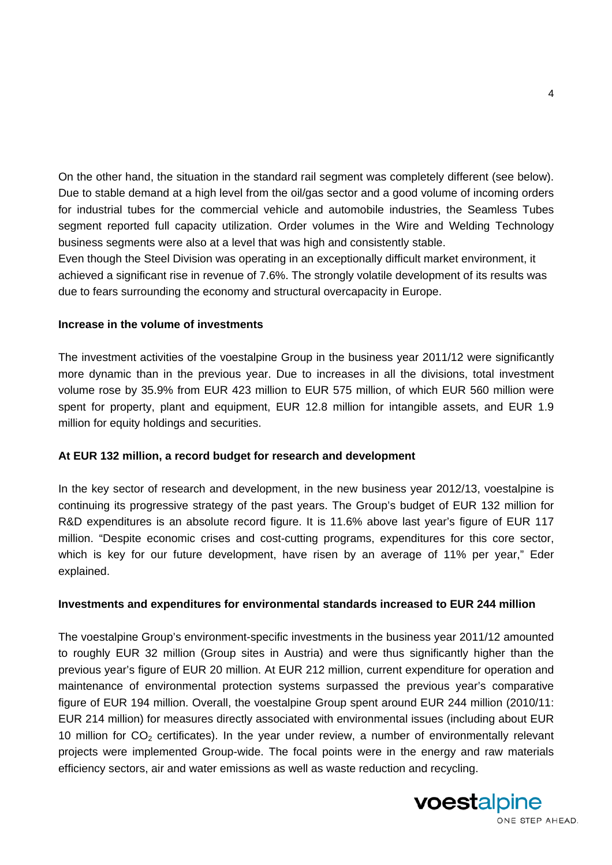On the other hand, the situation in the standard rail segment was completely different (see below). Due to stable demand at a high level from the oil/gas sector and a good volume of incoming orders for industrial tubes for the commercial vehicle and automobile industries, the Seamless Tubes segment reported full capacity utilization. Order volumes in the Wire and Welding Technology business segments were also at a level that was high and consistently stable.

Even though the Steel Division was operating in an exceptionally difficult market environment, it achieved a significant rise in revenue of 7.6%. The strongly volatile development of its results was due to fears surrounding the economy and structural overcapacity in Europe.

#### **Increase in the volume of investments**

The investment activities of the voestalpine Group in the business year 2011/12 were significantly more dynamic than in the previous year. Due to increases in all the divisions, total investment volume rose by 35.9% from EUR 423 million to EUR 575 million, of which EUR 560 million were spent for property, plant and equipment, EUR 12.8 million for intangible assets, and EUR 1.9 million for equity holdings and securities.

#### **At EUR 132 million, a record budget for research and development**

In the key sector of research and development, in the new business year 2012/13, voestalpine is continuing its progressive strategy of the past years. The Group's budget of EUR 132 million for R&D expenditures is an absolute record figure. It is 11.6% above last year's figure of EUR 117 million. "Despite economic crises and cost-cutting programs, expenditures for this core sector, which is key for our future development, have risen by an average of 11% per year," Eder explained.

#### **Investments and expenditures for environmental standards increased to EUR 244 million**

The voestalpine Group's environment-specific investments in the business year 2011/12 amounted to roughly EUR 32 million (Group sites in Austria) and were thus significantly higher than the previous year's figure of EUR 20 million. At EUR 212 million, current expenditure for operation and maintenance of environmental protection systems surpassed the previous year's comparative figure of EUR 194 million. Overall, the voestalpine Group spent around EUR 244 million (2010/11: EUR 214 million) for measures directly associated with environmental issues (including about EUR 10 million for  $CO<sub>2</sub>$  certificates). In the year under review, a number of environmentally relevant projects were implemented Group-wide. The focal points were in the energy and raw materials efficiency sectors, air and water emissions as well as waste reduction and recycling.



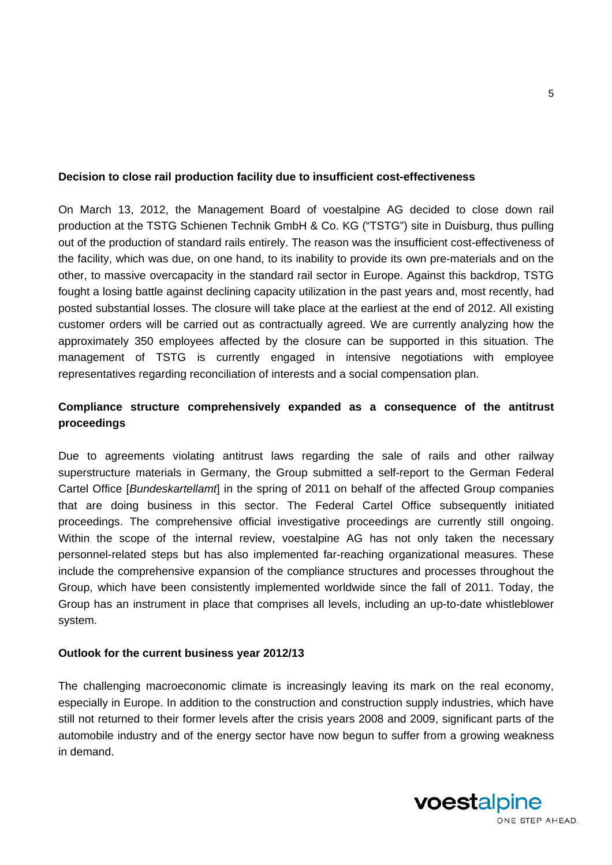### **Decision to close rail production facility due to insufficient cost-effectiveness**

On March 13, 2012, the Management Board of voestalpine AG decided to close down rail production at the TSTG Schienen Technik GmbH & Co. KG ("TSTG") site in Duisburg, thus pulling out of the production of standard rails entirely. The reason was the insufficient cost-effectiveness of the facility, which was due, on one hand, to its inability to provide its own pre-materials and on the other, to massive overcapacity in the standard rail sector in Europe. Against this backdrop, TSTG fought a losing battle against declining capacity utilization in the past years and, most recently, had posted substantial losses. The closure will take place at the earliest at the end of 2012. All existing customer orders will be carried out as contractually agreed. We are currently analyzing how the approximately 350 employees affected by the closure can be supported in this situation. The management of TSTG is currently engaged in intensive negotiations with employee representatives regarding reconciliation of interests and a social compensation plan.

# **Compliance structure comprehensively expanded as a consequence of the antitrust proceedings**

Due to agreements violating antitrust laws regarding the sale of rails and other railway superstructure materials in Germany, the Group submitted a self-report to the German Federal Cartel Office [*Bundeskartellamt*] in the spring of 2011 on behalf of the affected Group companies that are doing business in this sector. The Federal Cartel Office subsequently initiated proceedings. The comprehensive official investigative proceedings are currently still ongoing. Within the scope of the internal review, voestalpine AG has not only taken the necessary personnel-related steps but has also implemented far-reaching organizational measures. These include the comprehensive expansion of the compliance structures and processes throughout the Group, which have been consistently implemented worldwide since the fall of 2011. Today, the Group has an instrument in place that comprises all levels, including an up-to-date whistleblower system.

#### **Outlook for the current business year 2012/13**

The challenging macroeconomic climate is increasingly leaving its mark on the real economy, especially in Europe. In addition to the construction and construction supply industries, which have still not returned to their former levels after the crisis years 2008 and 2009, significant parts of the automobile industry and of the energy sector have now begun to suffer from a growing weakness in demand.

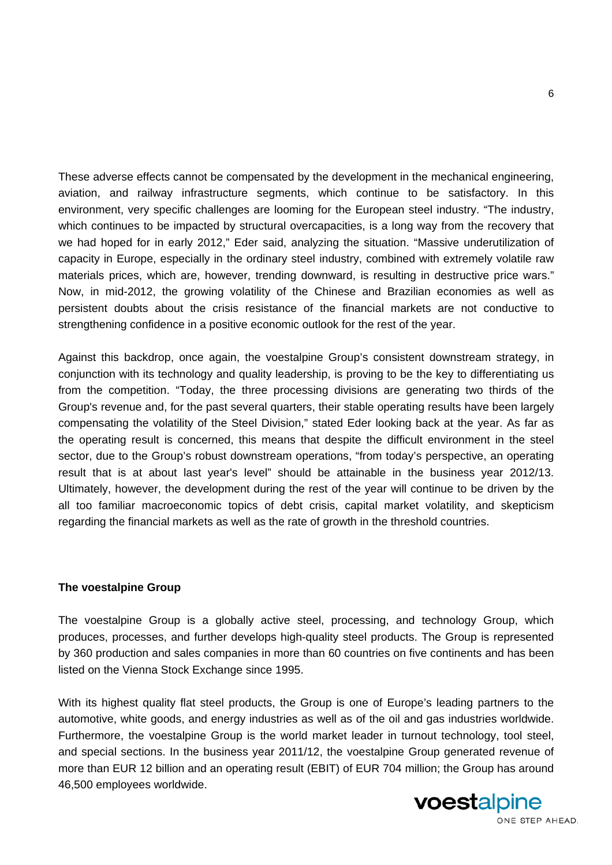These adverse effects cannot be compensated by the development in the mechanical engineering, aviation, and railway infrastructure segments, which continue to be satisfactory. In this environment, very specific challenges are looming for the European steel industry. "The industry, which continues to be impacted by structural overcapacities, is a long way from the recovery that we had hoped for in early 2012," Eder said, analyzing the situation. "Massive underutilization of capacity in Europe, especially in the ordinary steel industry, combined with extremely volatile raw materials prices, which are, however, trending downward, is resulting in destructive price wars." Now, in mid-2012, the growing volatility of the Chinese and Brazilian economies as well as persistent doubts about the crisis resistance of the financial markets are not conductive to strengthening confidence in a positive economic outlook for the rest of the year.

Against this backdrop, once again, the voestalpine Group's consistent downstream strategy, in conjunction with its technology and quality leadership, is proving to be the key to differentiating us from the competition. "Today, the three processing divisions are generating two thirds of the Group's revenue and, for the past several quarters, their stable operating results have been largely compensating the volatility of the Steel Division," stated Eder looking back at the year. As far as the operating result is concerned, this means that despite the difficult environment in the steel sector, due to the Group's robust downstream operations, "from today's perspective, an operating result that is at about last year's level" should be attainable in the business year 2012/13. Ultimately, however, the development during the rest of the year will continue to be driven by the all too familiar macroeconomic topics of debt crisis, capital market volatility, and skepticism regarding the financial markets as well as the rate of growth in the threshold countries.

#### **The voestalpine Group**

The voestalpine Group is a globally active steel, processing, and technology Group, which produces, processes, and further develops high-quality steel products. The Group is represented by 360 production and sales companies in more than 60 countries on five continents and has been listed on the Vienna Stock Exchange since 1995.

With its highest quality flat steel products, the Group is one of Europe's leading partners to the automotive, white goods, and energy industries as well as of the oil and gas industries worldwide. Furthermore, the voestalpine Group is the world market leader in turnout technology, tool steel, and special sections. In the business year 2011/12, the voestalpine Group generated revenue of more than EUR 12 billion and an operating result (EBIT) of EUR 704 million; the Group has around 46,500 employees worldwide.



ONE STEP AHEAD.